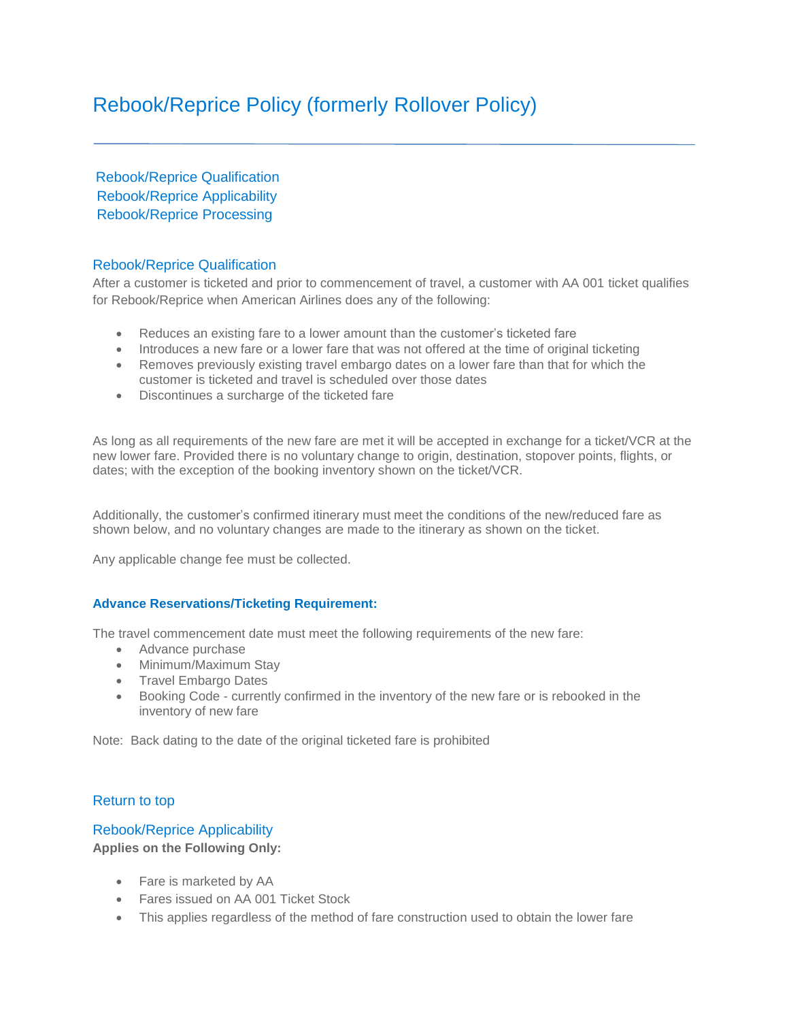# <span id="page-0-1"></span>Rebook/Reprice Policy (formerly Rollover Policy)

Rebook/Reprice Qualification [Rebook/Reprice](#page-0-0) Applicability [Rebook/Reprice](#page-1-0) Processing

# Rebook/Reprice Qualification

After a customer is ticketed and prior to commencement of travel, a customer with AA 001 ticket qualifies for Rebook/Reprice when American Airlines does any of the following:

- Reduces an existing fare to a lower amount than the customer's ticketed fare
- Introduces a new fare or a lower fare that was not offered at the time of original ticketing
- Removes previously existing travel embargo dates on a lower fare than that for which the customer is ticketed and travel is scheduled over those dates
- Discontinues a surcharge of the ticketed fare

As long as all requirements of the new fare are met it will be accepted in exchange for a ticket/VCR at the new lower fare. Provided there is no voluntary change to origin, destination, stopover points, flights, or dates; with the exception of the booking inventory shown on the ticket/VCR.

Additionally, the customer's confirmed itinerary must meet the conditions of the new/reduced fare as shown below, and no voluntary changes are made to the itinerary as shown on the ticket.

Any applicable change fee must be collected.

# **Advance Reservations/Ticketing Requirement:**

The travel commencement date must meet the following requirements of the new fare:

- Advance purchase
- Minimum/Maximum Stav
- Travel Embargo Dates
- Booking Code currently confirmed in the inventory of the new fare or is rebooked in the inventory of new fare

Note: Back dating to the date of the original ticketed fare is prohibited

# <span id="page-0-0"></span>[Return to top](#page-0-1)

# Rebook/Reprice Applicability

**Applies on the Following Only:**

- Fare is marketed by AA
- Fares issued on AA 001 Ticket Stock
- This applies regardless of the method of fare construction used to obtain the lower fare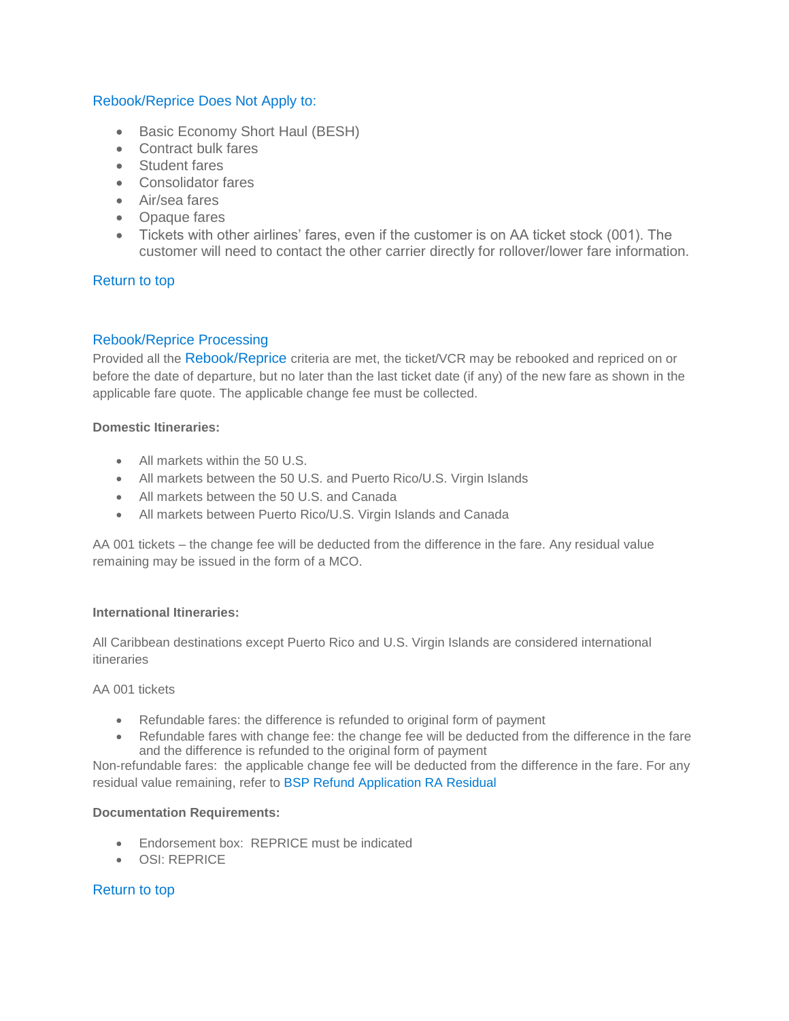# Rebook/Reprice Does Not Apply to:

- Basic Economy Short Haul (BESH)
- Contract bulk fares
- Student fares
- Consolidator fares
- Air/sea fares
- Opaque fares
- Tickets with other airlines' fares, even if the customer is on AA ticket stock (001). The customer will need to contact the other carrier directly for rollover/lower fare information.

# [Return to top](#page-0-1)

# <span id="page-1-0"></span>Rebook/Reprice Processing

Provided all the Rebook/Reprice criteria are met, the ticket/VCR may be rebooked and repriced on or before the date of departure, but no later than the last ticket date (if any) of the new fare as shown in the applicable fare quote. The applicable change fee must be collected.

# **Domestic Itineraries:**

- All markets within the 50 U.S.
- All markets between the 50 U.S. and Puerto Rico/U.S. Virgin Islands
- All markets between the 50 U.S. and Canada
- All markets between Puerto Rico/U.S. Virgin Islands and Canada

AA 001 tickets – the change fee will be deducted from the difference in the fare. Any residual value remaining may be issued in the form of a MCO.

#### **International Itineraries:**

All Caribbean destinations except Puerto Rico and U.S. Virgin Islands are considered international itineraries

#### AA 001 tickets

- Refundable fares: the difference is refunded to original form of payment
- Refundable fares with change fee: the change fee will be deducted from the difference in the fare and the difference is refunded to the original form of payment

Non-refundable fares: the applicable change fee will be deducted from the difference in the fare. For any residual value remaining, refer to [BSP Refund Application RA Residual](https://saleslink.aa.com/en-US/documents/Archives/AgencyRef/BSP_Refund_Application_RA_Residual.pdf)

#### **Documentation Requirements:**

- Endorsement box: REPRICE must be indicated
- OSI: REPRICE

# [Return to top](#page-0-1)